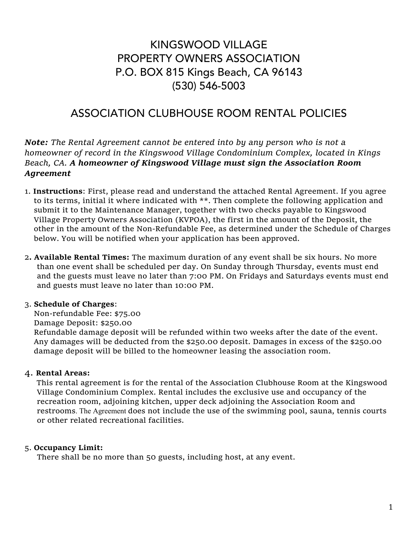### KINGSWOOD VILLAGE PROPERTY OWNERS ASSOCIATION P.O. BOX 815 Kings Beach, CA 96143 (530) 546-5003

### ASSOCIATION CLUBHOUSE ROOM RENTAL POLICIES

*Note: The Rental Agreement cannot be entered into by any person who is not a homeowner of record in the Kingswood Village Condominium Complex, located in Kings Beach, CA. A homeowner of Kingswood Village must sign the Association Room Agreement*

- 1. **Instructions**: First, please read and understand the attached Rental Agreement. If you agree to its terms, initial it where indicated with \*\*. Then complete the following application and submit it to the Maintenance Manager, together with two checks payable to Kingswood Village Property Owners Association (KVPOA), the first in the amount of the Deposit, the other in the amount of the Non-Refundable Fee, as determined under the Schedule of Charges below. You will be notified when your application has been approved.
- 2**. Available Rental Times:** The maximum duration of any event shall be six hours. No more than one event shall be scheduled per day. On Sunday through Thursday, events must end and the guests must leave no later than 7:00 PM. On Fridays and Saturdays events must end and guests must leave no later than 10:00 PM.

#### 3. **Schedule of Charges**:

Non-refundable Fee: \$75.00 Damage Deposit: \$250.00 Refundable damage deposit will be refunded within two weeks after the date of the event. Any damages will be deducted from the \$250.00 deposit. Damages in excess of the \$250.00 damage deposit will be billed to the homeowner leasing the association room.

#### 4. **Rental Areas:**

 This rental agreement is for the rental of the Association Clubhouse Room at the Kingswood Village Condominium Complex. Rental includes the exclusive use and occupancy of the recreation room, adjoining kitchen, upper deck adjoining the Association Room and restrooms. The Agreement does not include the use of the swimming pool, sauna, tennis courts or other related recreational facilities.

#### 5. **Occupancy Limit:**

There shall be no more than 50 guests, including host, at any event.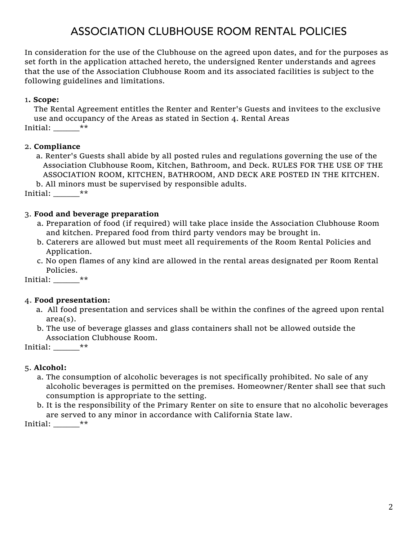# ASSOCIATION CLUBHOUSE ROOM RENTAL POLICIES

In consideration for the use of the Clubhouse on the agreed upon dates, and for the purposes as set forth in the application attached hereto, the undersigned Renter understands and agrees that the use of the Association Clubhouse Room and its associated facilities is subject to the following guidelines and limitations.

#### 1**. Scope:**

The Rental Agreement entitles the Renter and Renter's Guests and invitees to the exclusive use and occupancy of the Areas as stated in Section 4. Rental Areas Initial:  $**$ 

#### 2. **Compliance**

a. Renter's Guests shall abide by all posted rules and regulations governing the use of the Association Clubhouse Room, Kitchen, Bathroom, and Deck. RULES FOR THE USE OF THE ASSOCIATION ROOM, KITCHEN, BATHROOM, AND DECK ARE POSTED IN THE KITCHEN.

b. All minors must be supervised by responsible adults.

Initial: \_\_\_\_\_\_\*\*

#### 3. **Food and beverage preparation**

- a. Preparation of food (if required) will take place inside the Association Clubhouse Room and kitchen. Prepared food from third party vendors may be brought in.
- b. Caterers are allowed but must meet all requirements of the Room Rental Policies and Application.
- c. No open flames of any kind are allowed in the rental areas designated per Room Rental Policies.

Initial: \_\_\_\_\_\_\*\*

#### 4. **Food presentation:**

- a. All food presentation and services shall be within the confines of the agreed upon rental area(s).
- b. The use of beverage glasses and glass containers shall not be allowed outside the Association Clubhouse Room.

Initial: \_\_\_\_\_\_\*\*

#### 5. **Alcohol:**

- a. The consumption of alcoholic beverages is not specifically prohibited. No sale of any alcoholic beverages is permitted on the premises. Homeowner/Renter shall see that such consumption is appropriate to the setting.
- b. It is the responsibility of the Primary Renter on site to ensure that no alcoholic beverages are served to any minor in accordance with California State law.

Initial: \_\_\_\_\_\_\*\*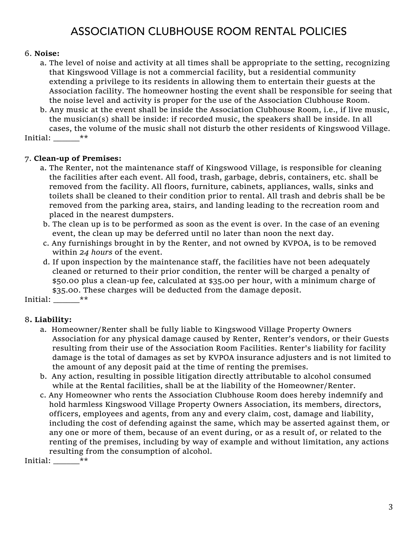# ASSOCIATION CLUBHOUSE ROOM RENTAL POLICIES

#### 6. **Noise:**

- a. The level of noise and activity at all times shall be appropriate to the setting, recognizing that Kingswood Village is not a commercial facility, but a residential community extending a privilege to its residents in allowing them to entertain their guests at the Association facility. The homeowner hosting the event shall be responsible for seeing that the noise level and activity is proper for the use of the Association Clubhouse Room.
- b. Any music at the event shall be inside the Association Clubhouse Room, i.e., if live music, the musician(s) shall be inside: if recorded music, the speakers shall be inside. In all cases, the volume of the music shall not disturb the other residents of Kingswood Village.

Initial: \_\_\_\_\_\_\*\*

#### 7. **Clean-up of Premises:**

- a. The Renter, not the maintenance staff of Kingswood Village, is responsible for cleaning the facilities after each event. All food, trash, garbage, debris, containers, etc. shall be removed from the facility. All floors, furniture, cabinets, appliances, walls, sinks and toilets shall be cleaned to their condition prior to rental. All trash and debris shall be be removed from the parking area, stairs, and landing leading to the recreation room and placed in the nearest dumpsters.
- b. The clean up is to be performed as soon as the event is over. In the case of an evening event, the clean up may be deferred until no later than noon the next day.
- c. Any furnishings brought in by the Renter, and not owned by KVPOA, is to be removed within *24 hours* of the event.
- d. If upon inspection by the maintenance staff, the facilities have not been adequately cleaned or returned to their prior condition, the renter will be charged a penalty of \$50.00 plus a clean-up fee, calculated at \$35.00 per hour, with a minimum charge of \$35.00. These charges will be deducted from the damage deposit.

Initial: \_\_\_\_\_\_\*\*

#### 8**. Liability:**

- a. Homeowner/Renter shall be fully liable to Kingswood Village Property Owners Association for any physical damage caused by Renter, Renter's vendors, or their Guests resulting from their use of the Association Room Facilities. Renter's liability for facility damage is the total of damages as set by KVPOA insurance adjusters and is not limited to the amount of any deposit paid at the time of renting the premises.
- b. Any action, resulting in possible litigation directly attributable to alcohol consumed while at the Rental facilities, shall be at the liability of the Homeowner/Renter.
- c. Any Homeowner who rents the Association Clubhouse Room does hereby indemnify and hold harmless Kingswood Village Property Owners Association, its members, directors, officers, employees and agents, from any and every claim, cost, damage and liability, including the cost of defending against the same, which may be asserted against them, or any one or more of them, because of an event during, or as a result of, or related to the renting of the premises, including by way of example and without limitation, any actions resulting from the consumption of alcohol.

Initial:  $**$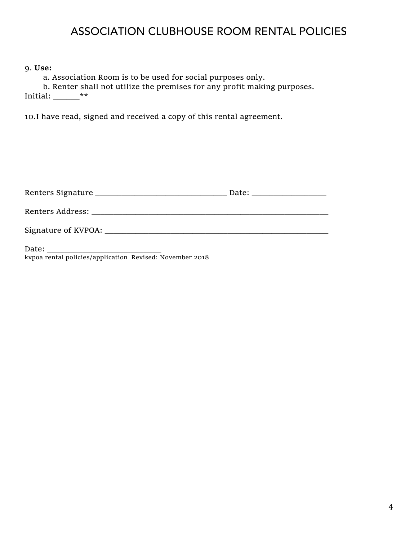### ASSOCIATION CLUBHOUSE ROOM RENTAL POLICIES

9. **Use:**

a. Association Room is to be used for social purposes only.

b. Renter shall not utilize the premises for any profit making purposes. Initial:  $\_\_\_\_\_\_\_\_*^*$ 

10.I have read, signed and received a copy of this rental agreement.

| Date: <u>Date: Electronic Property</u> |
|----------------------------------------|
|                                        |
|                                        |

Date: kvpoa rental policies/application Revised: November 2018